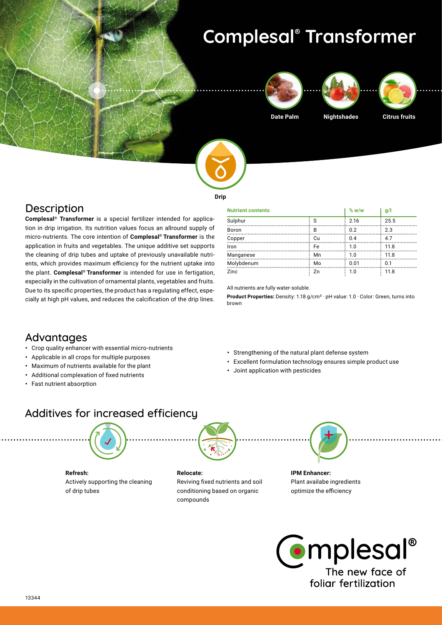# **Complesal® Transformer**







**Date Palm Nightshades Citrus fruits**



**Drip**

### **Description**

**Complesal® Transformer** is a special fertilizer intended for application in drip irrigation. Its nutrition values focus an allround supply of micro-nutrients. The core intention of **Complesal® Transformer** is the application in fruits and vegetables. The unique additive set supports the cleaning of drip tubes and uptake of previously unavailable nutrients, which provides maximum efficiency for the nutrient uptake into the plant. **Complesal® Transformer** is intended for use in fertigation, especially in the cultivation of ornamental plants, vegetables and fruits. Due to its specific properties, the product has a regulating effect, especially at high pH values, and reduces the calcification of the drip lines.

| <b>Nutrient contents</b> |    | $\%$ w/w | q/   |
|--------------------------|----|----------|------|
| Sulphur                  | S  | 2.16     | 25.5 |
| Boron                    | B  | 0.2      | 2.3  |
| Copper                   | Cu | 0.4      | 4.7  |
| Iron                     | Fe | 1.0      | 11.8 |
| Manganese                | Mn | 1.0      | 11.8 |
| Molybdenum               | Mo | 0.01     | 0.1  |
| Zinc                     | Zn | 1.0      | 11.8 |

All nutrients are fully water-soluble.

**Product Properties:** Density: 1.18 g/cm<sup>3</sup> · pH value: 1.0 · Color: Green, turns into brown

### Advantages

- **•** Crop quality enhancer with essential micro-nutrients
- **•** Applicable in all crops for multiple purposes
- **•** Maximum of nutrients available for the plant
- **•** Additional complexation of fixed nutrients
- **•** Fast nutrient absorption
- **•** Strengthening of the natural plant defense system
- **•** Excellent formulation technology ensures simple product use
- **•** Joint application with pesticides

## Additives for increased efficiency



**Refresh:** Actively supporting the cleaning of drip tubes

#### **Relocate:**

Reviving fixed nutrients and soil conditioning based on organic compounds



**IPM Enhancer:**  Plant availabe ingredients optimize the efficiency